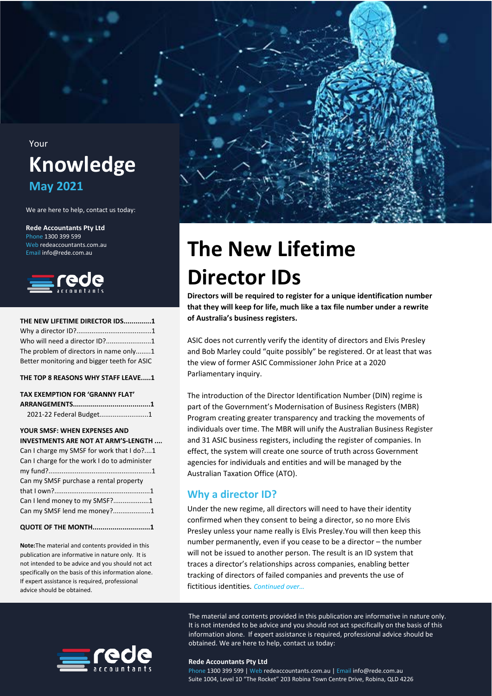## Your **Knowledge May 2021**

We are here to help, contact us today:

**Rede Accountants Pty Ltd**  Phone 1300 399 599 Web redeaccountants com au Email info@rede.com.au



| THE NEW LIFETIME DIRECTOR IDS1              |
|---------------------------------------------|
|                                             |
| Who will need a director ID?1               |
| The problem of directors in name only1      |
| Better monitoring and bigger teeth for ASIC |

**[THE TOP 8 REASONS WHY STAFF LEAVE.....1](#page-2-1)**

## **[TAX EXEMPTION FOR 'GRANNY FLAT'](#page-3-0)**

| 2021-22 Federal Budget1 |  |
|-------------------------|--|

### **[YOUR SMSF: WHEN EXPENSES AND](#page-4-0)**

| INVESTMENTS ARE NOT AT ARM'S-LENGTH          |  |
|----------------------------------------------|--|
| Can I charge my SMSF for work that I do?1    |  |
| Can I charge for the work I do to administer |  |
|                                              |  |
| Can my SMSF purchase a rental property       |  |
|                                              |  |
| Can I lend money to my SMSF?1                |  |
| Can my SMSF lend me money?1                  |  |
|                                              |  |

#### **[QUOTE OF THE MONTH.............................1](#page-5-4)**

**Note:**The material and contents provided in this publication are informative in nature only. It is not intended to be advice and you should not act specifically on the basis of this information alone. If expert assistance is required, professional advice should be obtained.



# <span id="page-0-0"></span>**The New Lifetime Director IDs**

**Directors will be required to register for a unique identification number that they will keep for life, much like a tax file number under a rewrite of Australia's business registers.**

ASIC does not currently verify the identity of directors and Elvis Presley and Bob Marley could "quite possibly" be registered. Or at least that was [the view of former ASIC Commissioner John Price at a 2020](#page-2-0)  Parliamentary inquiry.

The introduction of the Director Identification Number (DIN) regime is part of the Government's Modernisation of Business Registers (MBR) Program creating greater transparency and tracking the movements of individuals over time. The MBR will unify the Australian Business Register [and 31 ASIC business registers, including the register of compa](#page-4-0)nies. In effect, the system will create one source of truth across Government agencies for individuals and entities and will be managed by the Australian Taxation Office (ATO).

### <span id="page-0-1"></span>**Why a director ID?**

Under the new regime, all directors will need to have their identity confirmed when they consent to being a director, so no more Elvis Presley unless your name really is Elvis Presley.You will then keep this number permanently, even if you cease to be a director – the number will not be issued to another person. The result is an ID system that traces a director's relationships across companies, enabling better tracking of directors of failed companies and prevents the use of fictitious identities. *Continued over…*

The material and contents provided in this publication are informative in nature only. It is not intended to be advice and you should not act specifically on the basis of this information alone. If expert assistance is required, professional advice should be obtained. We are here to help, contact us today:



#### **Rede Accountants Pty Ltd 10**

Phone 1300 399 599 | Web redeaccountants.com.au | Email info@rede.com.au Suite 1004, Level 10 "The Rocket" 203 Robina Town Centre Drive, Robina, QLD 4226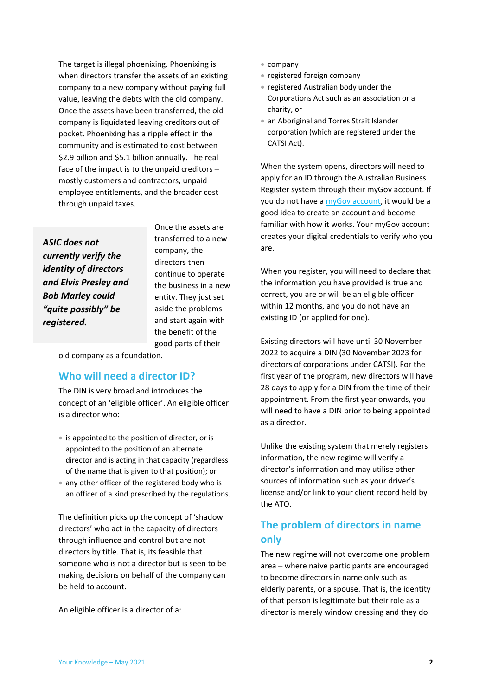The target is illegal phoenixing. Phoenixing is when directors transfer the assets of an existing company to a new company without paying full value, leaving the debts with the old company. Once the assets have been transferred, the old company is liquidated leaving creditors out of pocket. Phoenixing has a ripple effect in the community and is estimated to cost between \$2.9 billion and \$5.1 billion annually. The real face of the impact is to the unpaid creditors – mostly customers and contractors, unpaid employee entitlements, and the broader cost through unpaid taxes.

*ASIC does not currently verify the identity of directors and Elvis Presley and Bob Marley could "quite possibly" be registered.*

Once the assets are transferred to a new company, the directors then continue to operate the business in a new entity. They just set aside the problems and start again with the benefit of the good parts of their

<span id="page-1-0"></span>old company as a foundation.

### **Who will need a director ID?**

The DIN is very broad and introduces the concept of an 'eligible officer'. An eligible officer is a director who:

- is appointed to the position of director, or is appointed to the position of an alternate director and is acting in that capacity (regardless of the name that is given to that position); or
- any other officer of the registered body who is an officer of a kind prescribed by the regulations.

The definition picks up the concept of 'shadow directors' who act in the capacity of directors through influence and control but are not directors by title. That is, its feasible that someone who is not a director but is seen to be making decisions on behalf of the company can be held to account.

An eligible officer is a director of a:

- company
- registered foreign company
- registered Australian body under the Corporations Act such as an association or a charity, or
- an Aboriginal and Torres Strait Islander corporation (which are registered under the CATSI Act).

When the system opens, directors will need to apply for an ID through the Australian Business Register system through their myGov account. If you do not have a [myGov account,](https://www.mygovid.gov.au/) it would be a good idea to create an account and become familiar with how it works. Your myGov account creates your digital credentials to verify who you are.

When you register, you will need to declare that the information you have provided is true and correct, you are or will be an eligible officer within 12 months, and you do not have an existing ID (or applied for one).

Existing directors will have until 30 November 2022 to acquire a DIN (30 November 2023 for directors of corporations under CATSI). For the first year of the program, new directors will have 28 days to apply for a DIN from the time of their appointment. From the first year onwards, you will need to have a DIN prior to being appointed as a director.

Unlike the existing system that merely registers information, the new regime will verify a director's information and may utilise other sources of information such as your driver's license and/or link to your client record held by the ATO.

### <span id="page-1-1"></span>**The problem of directors in name only**

The new regime will not overcome one problem area – where naive participants are encouraged to become directors in name only such as elderly parents, or a spouse. That is, the identity of that person is legitimate but their role as a director is merely window dressing and they do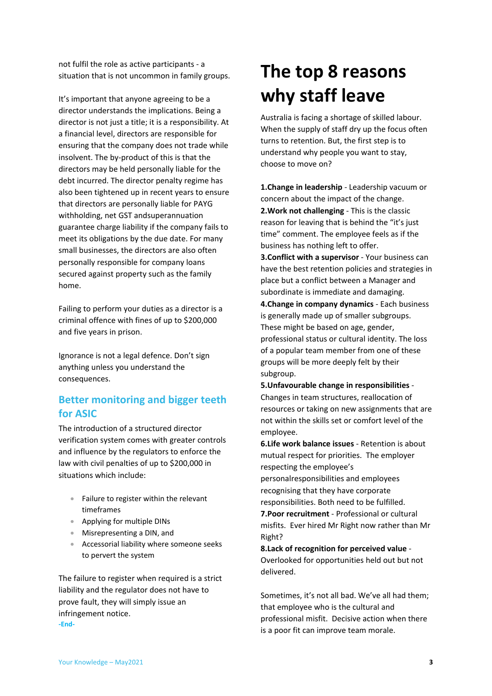not fulfil the role as active participants - a situation that is not uncommon in family groups.

It's important that anyone agreeing to be a director understands the implications. Being a director is not just a title; it is a responsibility. At a financial level, directors are responsible for ensuring that the company does not trade while insolvent. The by-product of this is that the directors may be held personally liable for the debt incurred. The director penalty regime has also been tightened up in recent years to ensure that directors are personally liable for PAYG withholding, net GST andsuperannuation guarantee charge liability if the company fails to meet its obligations by the due date. For many small businesses, the directors are also often personally responsible for company loans secured against property such as the family home.

Failing to perform your duties as a director is a criminal offence with fines of up to \$200,000 and five years in prison.

Ignorance is not a legal defence. Don't sign anything unless you understand the consequences.

### <span id="page-2-0"></span>**Better monitoring and bigger teeth for ASIC**

The introduction of a structured director verification system comes with greater controls and influence by the regulators to enforce the law with civil penalties of up to \$200,000 in situations which include:

- Failure to register within the relevant timeframes
- Applying for multiple DINs
- Misrepresenting a DIN, and
- Accessorial liability where someone seeks to pervert the system

The failure to register when required is a strict liability and the regulator does not have to prove fault, they will simply issue an infringement notice. **-End-**

## <span id="page-2-1"></span>**The top 8 reasons why staff leave**

Australia is facing a shortage of skilled labour. When the supply of staff dry up the focus often turns to retention. But, the first step is to understand why people you want to stay, choose to move on?

**1.Change in leadership** - Leadership vacuum or concern about the impact of the change. **2.Work not challenging** - This is the classic reason for leaving that is behind the "it's just time" comment. The employee feels as if the business has nothing left to offer.

**3.Conflict with a supervisor** - Your business can have the best retention policies and strategies in place but a conflict between a Manager and subordinate is immediate and damaging.

**4.Change in company dynamics** - Each business is generally made up of smaller subgroups. These might be based on age, gender, professional status or cultural identity. The loss of a popular team member from one of these groups will be more deeply felt by their subgroup.

**5.Unfavourable change in responsibilities** - Changes in team structures, reallocation of resources or taking on new assignments that are not within the skills set or comfort level of the employee.

**6.Life work balance issues** - Retention is about mutual respect for priorities. The employer respecting the employee's

personalresponsibilities and employees recognising that they have corporate responsibilities. Both need to be fulfilled.

**7.Poor recruitment** - Professional or cultural misfits. Ever hired Mr Right now rather than Mr Right?

**8.Lack of recognition for perceived value** - Overlooked for opportunities held out but not delivered.

Sometimes, it's not all bad. We've all had them; that employee who is the cultural and professional misfit. Decisive action when there is a poor fit can improve team morale.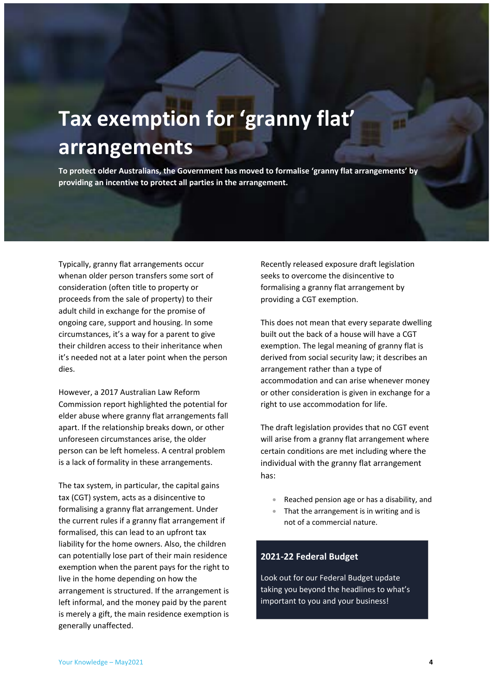# <span id="page-3-0"></span>**Tax exemption for 'granny flat' arrangements**

**To protect older Australians, the Government has moved to formalise 'granny flat arrangements' by providing an incentive to protect all parties in the arrangement.**

Typically, granny flat arrangements occur whenan older person transfers some sort of consideration (often title to property or proceeds from the sale of property) to their adult child in exchange for the promise of ongoing care, support and housing. In some circumstances, it's a way for a parent to give their children access to their inheritance when it's needed not at a later point when the person dies.

However, a 2017 Australian Law Reform Commission report highlighted the potential for elder abuse where granny flat arrangements fall apart. If the relationship breaks down, or other unforeseen circumstances arise, the older person can be left homeless. A central problem is a lack of formality in these arrangements.

The tax system, in particular, the capital gains tax (CGT) system, acts as a disincentive to formalising a granny flat arrangement. Under the current rules if a granny flat arrangement if formalised, this can lead to an upfront tax liability for the home owners. Also, the children can potentially lose part of their main residence exemption when the parent pays for the right to live in the home depending on how the arrangement is structured. If the arrangement is left informal, and the money paid by the parent is merely a gift, the main residence exemption is generally unaffected.

Recently released exposure draft legislation seeks to overcome the disincentive to formalising a granny flat arrangement by providing a CGT exemption.

This does not mean that every separate dwelling built out the back of a house will have a CGT exemption. The legal meaning of granny flat is derived from social security law; it describes an arrangement rather than a type of accommodation and can arise whenever money or other consideration is given in exchange for a right to use accommodation for life.

The draft legislation provides that no CGT event will arise from a granny flat arrangement where certain conditions are met including where the individual with the granny flat arrangement has:

- Reached pension age or has a disability, and
- That the arrangement is in writing and is not of a commercial nature.

### <span id="page-3-1"></span>**2021-22 Federal Budget**

Look out for our Federal Budget update taking you beyond the headlines to what's important to you and your business!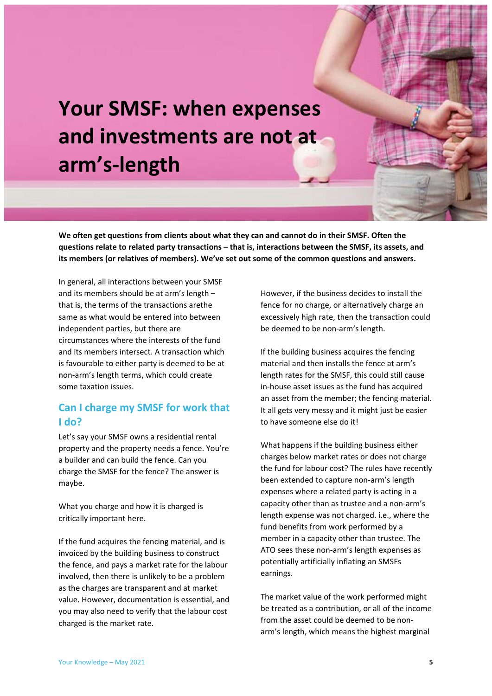# <span id="page-4-0"></span>**Your SMSF: when expenses and investments are not at arm's-length**

**We often get questions from clients about what they can and cannot do in their SMSF. Often the questions relate to related party transactions – that is, interactions between the SMSF, its assets, and its members (or relatives of members). We've set out some of the common questions and answers.**

In general, all interactions between your SMSF and its members should be at arm's length – that is, the terms of the transactions arethe same as what would be entered into between independent parties, but there are circumstances where the interests of the fund and its members intersect. A transaction which is favourable to either party is deemed to be at non-arm's length terms, which could create some taxation issues.

### <span id="page-4-1"></span>**Can I charge my SMSF for work that I do?**

Let's say your SMSF owns a residential rental property and the property needs a fence. You're a builder and can build the fence. Can you charge the SMSF for the fence? The answer is maybe.

What you charge and how it is charged is critically important here.

If the fund acquires the fencing material, and is invoiced by the building business to construct the fence, and pays a market rate for the labour involved, then there is unlikely to be a problem as the charges are transparent and at market value. However, documentation is essential, and you may also need to verify that the labour cost charged is the market rate.

However, if the business decides to install the fence for no charge, or alternatively charge an excessively high rate, then the transaction could be deemed to be non-arm's length.

If the building business acquires the fencing material and then installs the fence at arm's length rates for the SMSF, this could still cause in-house asset issues as the fund has acquired an asset from the member; the fencing material. It all gets very messy and it might just be easier to have someone else do it!

What happens if the building business either charges below market rates or does not charge the fund for labour cost? The rules have recently been extended to capture non-arm's length expenses where a related party is acting in a capacity other than as trustee and a non-arm's length expense was not charged. i.e., where the fund benefits from work performed by a member in a capacity other than trustee. The ATO sees these non-arm's length expenses as potentially artificially inflating an SMSFs earnings.

The market value of the work performed might be treated as a contribution, or all of the income from the asset could be deemed to be nonarm's length, which means the highest marginal